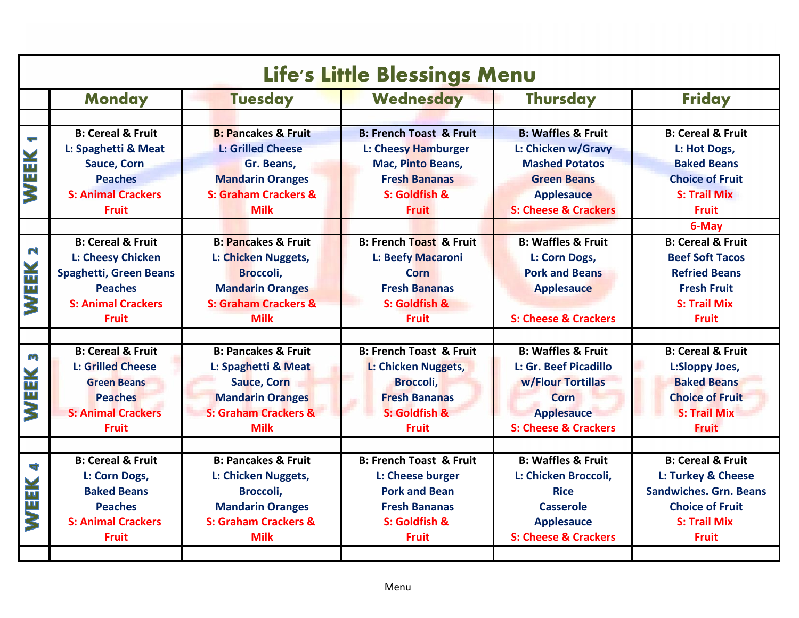| Life's Little Blessings Menu |                               |                                 |                                    |                                 |                               |  |  |
|------------------------------|-------------------------------|---------------------------------|------------------------------------|---------------------------------|-------------------------------|--|--|
|                              | <b>Monday</b>                 | <b>Tuesday</b>                  | Wednesday                          | <b>Thursday</b>                 | <b>Friday</b>                 |  |  |
|                              |                               |                                 |                                    |                                 |                               |  |  |
|                              | <b>B: Cereal &amp; Fruit</b>  | <b>B: Pancakes &amp; Fruit</b>  | <b>B: French Toast &amp; Fruit</b> | <b>B: Waffles &amp; Fruit</b>   | <b>B: Cereal &amp; Fruit</b>  |  |  |
|                              | L: Spaghetti & Meat           | <b>L: Grilled Cheese</b>        | <b>L: Cheesy Hamburger</b>         | L: Chicken w/Gravy              | L: Hot Dogs,                  |  |  |
| WEEK                         | <b>Sauce, Corn</b>            | Gr. Beans,                      | Mac, Pinto Beans,                  | <b>Mashed Potatos</b>           | <b>Baked Beans</b>            |  |  |
|                              | <b>Peaches</b>                | <b>Mandarin Oranges</b>         | <b>Fresh Bananas</b>               | <b>Green Beans</b>              | <b>Choice of Fruit</b>        |  |  |
|                              | <b>S: Animal Crackers</b>     | <b>S: Graham Crackers &amp;</b> | S: Goldfish &                      | <b>Applesauce</b>               | <b>S: Trail Mix</b>           |  |  |
|                              | <b>Fruit</b>                  | <b>Milk</b>                     | <b>Fruit</b>                       | <b>S: Cheese &amp; Crackers</b> | <b>Fruit</b>                  |  |  |
|                              |                               |                                 |                                    |                                 | 6-May                         |  |  |
|                              | <b>B: Cereal &amp; Fruit</b>  | <b>B: Pancakes &amp; Fruit</b>  | <b>B: French Toast &amp; Fruit</b> | <b>B: Waffles &amp; Fruit</b>   | <b>B: Cereal &amp; Fruit</b>  |  |  |
| $\mathbf{r}$                 | <b>L: Cheesy Chicken</b>      | L: Chicken Nuggets,             | L: Beefy Macaroni                  | L: Corn Dogs,                   | <b>Beef Soft Tacos</b>        |  |  |
|                              | <b>Spaghetti, Green Beans</b> | Broccoli,                       | Corn                               | <b>Pork and Beans</b>           | <b>Refried Beans</b>          |  |  |
|                              | <b>Peaches</b>                | <b>Mandarin Oranges</b>         | <b>Fresh Bananas</b>               | <b>Applesauce</b>               | <b>Fresh Fruit</b>            |  |  |
| WEEK                         | <b>S: Animal Crackers</b>     | <b>S: Graham Crackers &amp;</b> | S: Goldfish &                      |                                 | <b>S: Trail Mix</b>           |  |  |
|                              | <b>Fruit</b>                  | <b>Milk</b>                     | <b>Fruit</b>                       | <b>S: Cheese &amp; Crackers</b> | <b>Fruit</b>                  |  |  |
|                              |                               |                                 |                                    |                                 |                               |  |  |
| S                            | <b>B: Cereal &amp; Fruit</b>  | <b>B: Pancakes &amp; Fruit</b>  | <b>B: French Toast &amp; Fruit</b> | <b>B: Waffles &amp; Fruit</b>   | <b>B: Cereal &amp; Fruit</b>  |  |  |
|                              | <b>L: Grilled Cheese</b>      | L: Spaghetti & Meat             | L: Chicken Nuggets,                | L: Gr. Beef Picadillo           | L:Sloppy Joes,                |  |  |
|                              | <b>Green Beans</b>            | <b>Sauce, Corn</b>              | Broccoli,                          | w/Flour Tortillas               | <b>Baked Beans</b>            |  |  |
| WEEK                         | <b>Peaches</b>                | <b>Mandarin Oranges</b>         | <b>Fresh Bananas</b>               | <b>Corn</b>                     | <b>Choice of Fruit</b>        |  |  |
|                              | <b>S: Animal Crackers</b>     | <b>S: Graham Crackers &amp;</b> | S: Goldfish &                      | <b>Applesauce</b>               | <b>S: Trail Mix</b>           |  |  |
|                              | <b>Fruit</b>                  | <b>Milk</b>                     | <b>Fruit</b>                       | <b>S: Cheese &amp; Crackers</b> | <b>Fruit</b>                  |  |  |
|                              | <b>B: Cereal &amp; Fruit</b>  | <b>B: Pancakes &amp; Fruit</b>  | <b>B: French Toast &amp; Fruit</b> | <b>B: Waffles &amp; Fruit</b>   | <b>B: Cereal &amp; Fruit</b>  |  |  |
| 4                            | L: Corn Dogs,                 | L: Chicken Nuggets,             | L: Cheese burger                   | L: Chicken Broccoli,            | L: Turkey & Cheese            |  |  |
|                              | <b>Baked Beans</b>            | Broccoli,                       | <b>Pork and Bean</b>               | <b>Rice</b>                     | <b>Sandwiches. Grn. Beans</b> |  |  |
| WEEK                         | <b>Peaches</b>                | <b>Mandarin Oranges</b>         | <b>Fresh Bananas</b>               | Casserole                       | <b>Choice of Fruit</b>        |  |  |
|                              | <b>S: Animal Crackers</b>     | <b>S: Graham Crackers &amp;</b> | S: Goldfish &                      | <b>Applesauce</b>               | <b>S: Trail Mix</b>           |  |  |
|                              | <b>Fruit</b>                  | <b>Milk</b>                     | <b>Fruit</b>                       | <b>S: Cheese &amp; Crackers</b> | <b>Fruit</b>                  |  |  |
|                              |                               |                                 |                                    |                                 |                               |  |  |